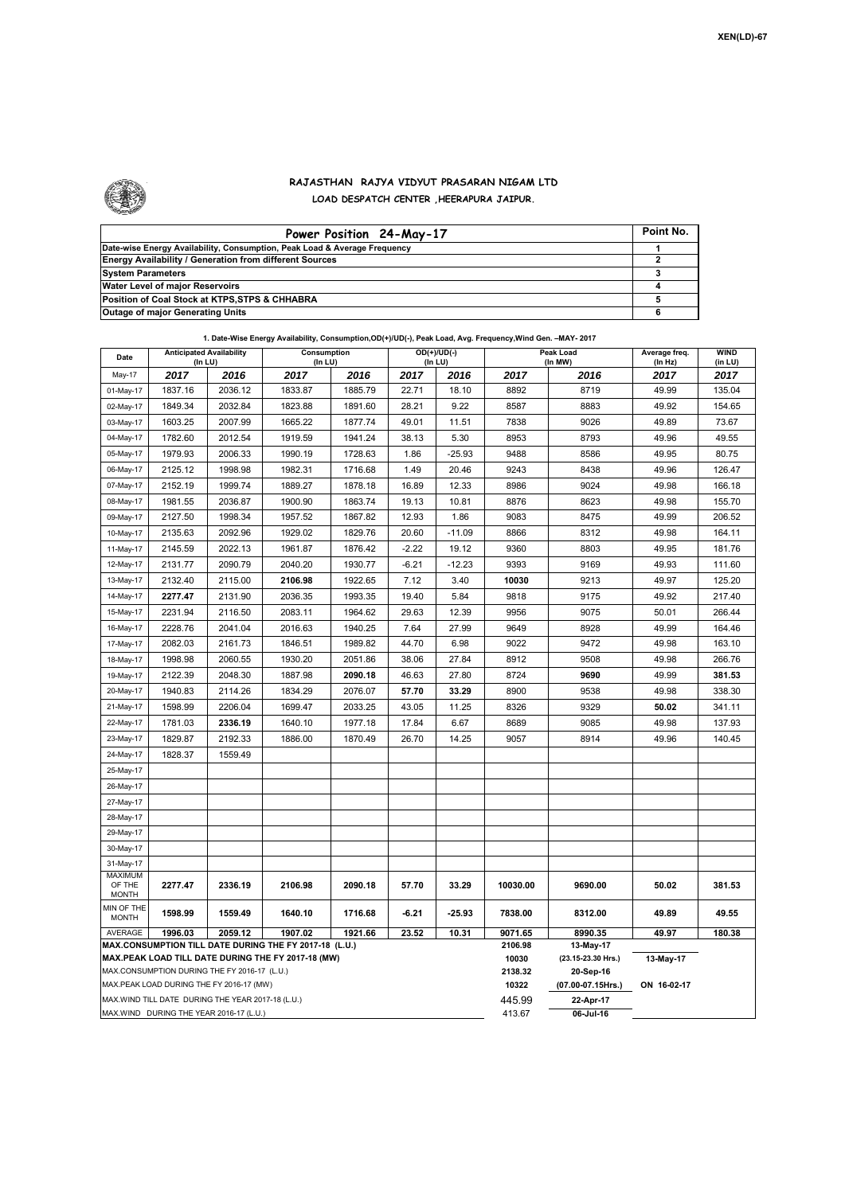

## **RAJASTHAN RAJYA VIDYUT PRASARAN NIGAM LTD LOAD DESPATCH CENTER ,HEERAPURA JAIPUR.**

| Power Position 24-May-17                                                  | Point No. |
|---------------------------------------------------------------------------|-----------|
| Date-wise Energy Availability, Consumption, Peak Load & Average Frequency |           |
| Energy Availability / Generation from different Sources                   |           |
| <b>System Parameters</b>                                                  |           |
| Water Level of major Reservoirs                                           |           |
| Position of Coal Stock at KTPS, STPS & CHHABRA                            |           |
| <b>Outage of major Generating Units</b>                                   |           |

|  |  | 1. Date-Wise Energy Availability, Consumption,OD(+)/UD(-), Peak Load, Avg. Frequency,Wind Gen. -MAY- 2017 |
|--|--|-----------------------------------------------------------------------------------------------------------|
|--|--|-----------------------------------------------------------------------------------------------------------|

| Date                                                                                                         | <b>Anticipated Availability</b><br>(In LU) |         | Consumption<br>(In LU) |                   |             | $OD(+)/UD(-)$<br>(In LU) | Peak Load<br>(In MW) |                                 | Average freq.<br>(In Hz) | <b>WIND</b><br>(in LU) |
|--------------------------------------------------------------------------------------------------------------|--------------------------------------------|---------|------------------------|-------------------|-------------|--------------------------|----------------------|---------------------------------|--------------------------|------------------------|
| May-17                                                                                                       | 2017                                       | 2016    | 2017                   | 2016              | 2017        | 2016                     | 2017                 | 2016                            | 2017                     | 2017                   |
| 01-May-17                                                                                                    | 1837.16                                    | 2036.12 | 1833.87                | 1885.79           | 22.71       | 18.10                    | 8892                 | 8719                            | 49.99                    | 135.04                 |
| 02-May-17                                                                                                    | 1849.34                                    | 2032.84 | 1823.88                | 1891.60           | 28.21       | 9.22                     | 8587                 | 8883                            | 49.92                    | 154.65                 |
| 03-May-17                                                                                                    | 1603.25                                    | 2007.99 | 1665.22                | 1877.74           | 49.01       | 11.51                    | 7838                 | 9026                            | 49.89                    | 73.67                  |
| 04-May-17                                                                                                    | 1782.60                                    | 2012.54 | 1919.59                | 1941.24           | 38.13       | 5.30                     | 8953                 | 8793                            | 49.96                    | 49.55                  |
| 05-May-17                                                                                                    | 1979.93                                    | 2006.33 | 1990.19                | 1728.63           | 1.86        | $-25.93$                 | 9488                 | 8586                            | 49.95                    | 80.75                  |
| 06-May-17                                                                                                    | 2125.12                                    | 1998.98 | 1982.31                | 1716.68           | 1.49        | 20.46                    | 9243                 | 8438                            | 49.96                    | 126.47                 |
| 07-May-17                                                                                                    | 2152.19                                    | 1999.74 | 1889.27                | 1878.18           | 16.89       | 12.33                    | 8986                 | 9024                            | 49.98                    | 166.18                 |
| 08-May-17                                                                                                    | 1981.55                                    | 2036.87 | 1900.90                | 1863.74           | 19.13       | 10.81                    | 8876                 | 8623                            | 49.98                    | 155.70                 |
| 09-May-17                                                                                                    | 2127.50                                    | 1998.34 | 1957.52                | 1867.82           | 12.93       | 1.86                     | 9083                 | 8475                            | 49.99                    | 206.52                 |
| 10-May-17                                                                                                    | 2135.63                                    | 2092.96 | 1929.02                | 1829.76           | 20.60       | $-11.09$                 | 8866                 | 8312                            | 49.98                    | 164.11                 |
| 11-May-17                                                                                                    | 2145.59                                    | 2022.13 | 1961.87                | 1876.42           | $-2.22$     | 19.12                    | 9360                 | 8803                            | 49.95                    | 181.76                 |
| 12-May-17                                                                                                    | 2131.77                                    | 2090.79 | 2040.20                | 1930.77           | $-6.21$     | $-12.23$                 | 9393                 | 9169                            | 49.93                    | 111.60                 |
| 13-May-17                                                                                                    | 2132.40                                    | 2115.00 | 2106.98                | 1922.65           | 7.12        | 3.40                     | 10030                | 9213                            | 49.97                    | 125.20                 |
| 14-May-17                                                                                                    | 2277.47                                    | 2131.90 | 2036.35                | 1993.35           | 19.40       | 5.84                     | 9818                 | 9175                            | 49.92                    | 217.40                 |
| 15-May-17                                                                                                    | 2231.94                                    | 2116.50 | 2083.11                | 1964.62           | 29.63       | 12.39                    | 9956                 | 9075                            | 50.01                    | 266.44                 |
| 16-May-17                                                                                                    | 2228.76                                    | 2041.04 | 2016.63                | 1940.25           | 7.64        | 27.99                    | 9649                 | 8928                            | 49.99                    | 164.46                 |
| 17-May-17                                                                                                    | 2082.03                                    | 2161.73 | 1846.51                | 1989.82           | 44.70       | 6.98                     | 9022                 | 9472                            | 49.98                    | 163.10                 |
| 18-May-17                                                                                                    | 1998.98                                    | 2060.55 | 1930.20                | 2051.86           | 38.06       | 27.84                    | 8912                 | 9508                            | 49.98                    | 266.76                 |
| 19-May-17                                                                                                    | 2122.39                                    | 2048.30 | 1887.98                | 2090.18           | 46.63       | 27.80                    | 8724                 | 9690                            | 49.99                    | 381.53                 |
| 20-May-17                                                                                                    | 1940.83                                    | 2114.26 | 1834.29                | 2076.07           | 57.70       | 33.29                    | 8900                 | 9538                            | 49.98                    | 338.30                 |
| 21-May-17                                                                                                    | 1598.99                                    | 2206.04 | 1699.47                | 2033.25           | 43.05       | 11.25                    | 8326                 | 9329                            | 50.02                    | 341.11                 |
| 22-May-17                                                                                                    | 1781.03                                    | 2336.19 | 1640.10                | 1977.18           | 17.84       | 6.67                     | 8689                 | 9085                            | 49.98                    | 137.93                 |
| 23-May-17                                                                                                    | 1829.87                                    | 2192.33 | 1886.00                | 1870.49           | 26.70       | 14.25                    | 9057                 | 8914                            | 49.96                    | 140.45                 |
| 24-May-17                                                                                                    | 1828.37                                    | 1559.49 |                        |                   |             |                          |                      |                                 |                          |                        |
| 25-May-17                                                                                                    |                                            |         |                        |                   |             |                          |                      |                                 |                          |                        |
| 26-May-17                                                                                                    |                                            |         |                        |                   |             |                          |                      |                                 |                          |                        |
| 27-May-17                                                                                                    |                                            |         |                        |                   |             |                          |                      |                                 |                          |                        |
| 28-May-17                                                                                                    |                                            |         |                        |                   |             |                          |                      |                                 |                          |                        |
| 29-May-17                                                                                                    |                                            |         |                        |                   |             |                          |                      |                                 |                          |                        |
| 30-May-17                                                                                                    |                                            |         |                        |                   |             |                          |                      |                                 |                          |                        |
| 31-May-17                                                                                                    |                                            |         |                        |                   |             |                          |                      |                                 |                          |                        |
| <b>MAXIMUM</b><br>OF THE<br><b>MONTH</b>                                                                     | 2277.47                                    | 2336.19 | 2106.98                | 2090.18           | 57.70       | 33.29                    | 10030.00             | 9690.00                         | 50.02                    | 381.53                 |
| MIN OF THE<br><b>MONTH</b>                                                                                   | 1598.99                                    | 1559.49 | 1640.10                | 1716.68           | $-6.21$     | $-25.93$                 | 7838.00              | 8312.00                         | 49.89                    | 49.55                  |
| AVERAGE                                                                                                      | 1996.03                                    | 2059.12 | 1907.02                | 1921.66           | 23.52       | 10.31                    | 9071.65              | 8990.35                         | 49.97                    | 180.38                 |
| MAX.CONSUMPTION TILL DATE DURING THE FY 2017-18 (L.U.)<br>MAX.PEAK LOAD TILL DATE DURING THE FY 2017-18 (MW) |                                            |         |                        |                   | 2106.98     | 13-May-17                |                      |                                 |                          |                        |
|                                                                                                              |                                            |         |                        |                   |             |                          | 10030<br>2138.32     | (23.15-23.30 Hrs.)<br>20-Sep-16 | 13-May-17                |                        |
| MAX.CONSUMPTION DURING THE FY 2016-17 (L.U.)<br>MAX.PEAK LOAD DURING THE FY 2016-17 (MW)                     |                                            |         | 10322                  | (07.00-07.15Hrs.) | ON 16-02-17 |                          |                      |                                 |                          |                        |
| MAX.WIND TILL DATE DURING THE YEAR 2017-18 (L.U.)                                                            |                                            |         |                        | 445.99            | 22-Apr-17   |                          |                      |                                 |                          |                        |
| MAX.WIND DURING THE YEAR 2016-17 (L.U.)                                                                      |                                            |         |                        |                   |             | 413.67                   | 06-Jul-16            |                                 |                          |                        |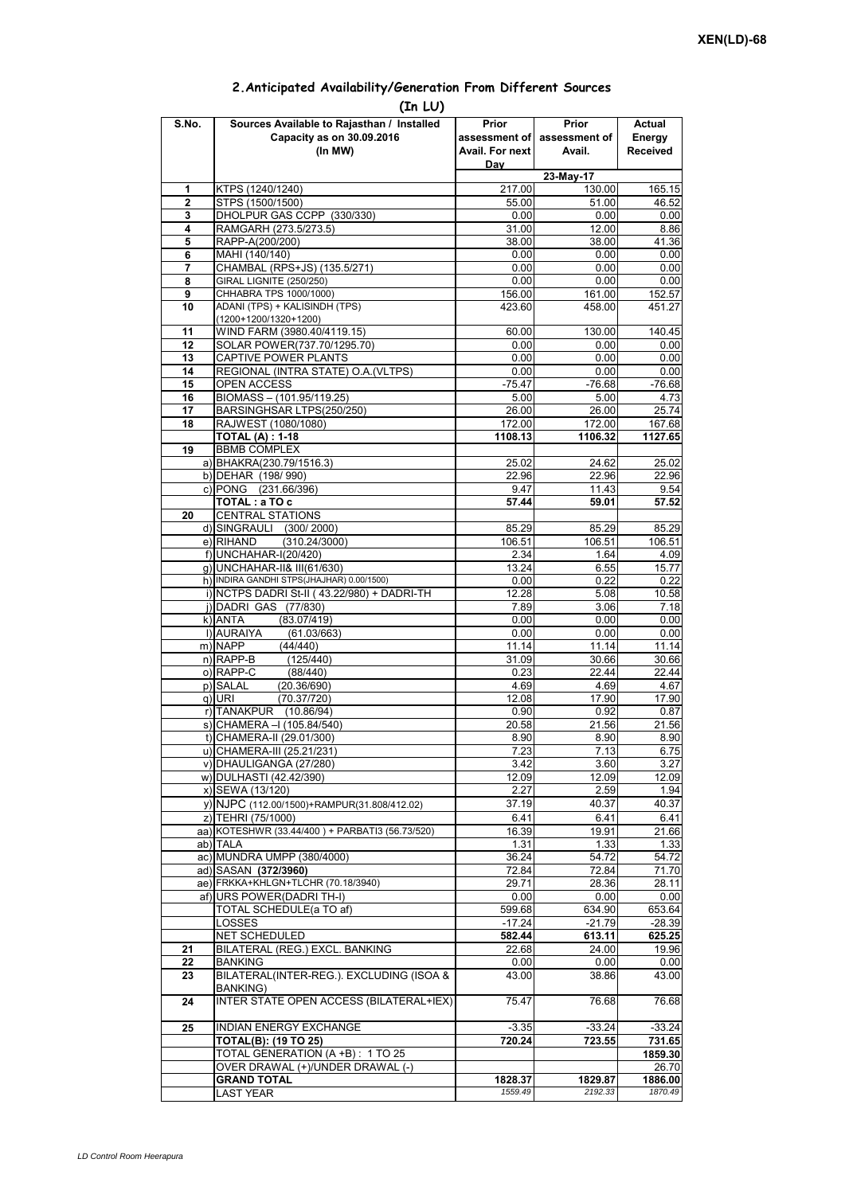|                     | (In LU)                                                    |                  |                  |                  |
|---------------------|------------------------------------------------------------|------------------|------------------|------------------|
| S.No.               | Sources Available to Rajasthan / Installed                 | Prior            | Prior            | Actual           |
|                     | Capacity as on 30.09.2016                                  | assessment of    | assessment of    | Energy           |
|                     | (In MW)                                                    | Avail. For next  | Avail.           | <b>Received</b>  |
|                     |                                                            | Day              | 23-May-17        |                  |
| 1                   | KTPS (1240/1240)                                           | 217.00           | 130.00           | 165.15           |
| $\overline{2}$      | STPS (1500/1500)                                           | 55.00            | 51.00            | 46.52            |
| 3                   | DHOLPUR GAS CCPP (330/330)                                 | 0.00             | 0.00             | 0.00             |
| 4                   | RAMGARH (273.5/273.5)                                      | 31.00            | 12.00            | 8.86             |
| 5                   | RAPP-A(200/200)                                            | 38.00            | 38.00            | 41.36            |
| 6<br>$\overline{7}$ | MAHI (140/140)<br>CHAMBAL (RPS+JS) (135.5/271)             | 0.00<br>0.00     | 0.00<br>0.00     | 0.00<br>0.00     |
| 8                   | GIRAL LIGNITE (250/250)                                    | 0.00             | 0.00             | 0.00             |
| 9                   | CHHABRA TPS 1000/1000)                                     | 156.00           | 161.00           | 152.57           |
| 10                  | ADANI (TPS) + KALISINDH (TPS)                              | 423.60           | 458.00           | 451.27           |
|                     | (1200+1200/1320+1200)                                      |                  |                  |                  |
| 11                  | WIND FARM (3980.40/4119.15)                                | 60.00            | 130.00           | 140.45           |
| 12                  | SOLAR POWER(737.70/1295.70)                                | 0.00             | 0.00             | 0.00             |
| 13                  | CAPTIVE POWER PLANTS                                       | 0.00             | 0.00             | 0.00             |
| 14<br>15            | REGIONAL (INTRA STATE) O.A. (VLTPS)<br>OPEN ACCESS         | 0.00<br>$-75.47$ | 0.00<br>$-76.68$ | 0.00<br>$-76.68$ |
| 16                  | BIOMASS-(101.95/119.25)                                    | 5.00             | 5.00             | 4.73             |
| 17                  | BARSINGHSAR LTPS(250/250)                                  | 26.00            | 26.00            | 25.74            |
| 18                  | RAJWEST (1080/1080)                                        | 172.00           | 172.00           | 167.68           |
|                     | <b>TOTAL (A): 1-18</b>                                     | 1108.13          | 1106.32          | 1127.65          |
| 19                  | <b>BBMB COMPLEX</b>                                        |                  |                  |                  |
|                     | a) BHAKRA(230.79/1516.3)                                   | 25.02            | 24.62            | 25.02            |
|                     | b) DEHAR (198/990)                                         | 22.96            | 22.96            | 22.96            |
|                     | c) PONG (231.66/396)                                       | 9.47             | 11.43            | 9.54             |
|                     | TOTAL: a TO c                                              | 57.44            | 59.01            | 57.52            |
| 20                  | <b>CENTRAL STATIONS</b>                                    |                  |                  |                  |
|                     | d) SINGRAULI (300/2000)                                    | 85.29            | 85.29            | 85.29            |
|                     | e) RIHAND<br>(310.24/3000)<br>f) UNCHAHAR-I(20/420)        | 106.51<br>2.34   | 106.51<br>1.64   | 106.51<br>4.09   |
|                     | q) UNCHAHAR-II& III(61/630)                                | 13.24            | 6.55             | 15.77            |
|                     | h) INDIRA GANDHI STPS(JHAJHAR) 0.00/1500)                  | 0.00             | 0.22             | 0.22             |
|                     | i) NCTPS DADRI St-II (43.22/980) + DADRI-TH                | 12.28            | 5.08             | 10.58            |
|                     | j) DADRI GAS (77/830)                                      | 7.89             | 3.06             | 7.18             |
|                     | k) ANTA<br>(83.07/419)                                     | 0.00             | 0.00             | 0.00             |
|                     | I) AURAIYA<br>(61.03/663)                                  | 0.00             | 0.00             | 0.00             |
|                     | m) NAPP<br>(44/440)                                        | 11.14            | 11.14            | 11.14            |
|                     | $n)$ RAPP-B<br>(125/440)                                   | 31.09            | 30.66            | 30.66            |
|                     | o) RAPP-C<br>(88/440)                                      | 0.23             | 22.44            | 22.44            |
|                     | p) SALAL<br>(20.36/690)<br>(70.37/720)<br>q) URI           | 4.69<br>12.08    | 4.69<br>17.90    | 4.67<br>17.90    |
|                     | r) TANAKPUR<br>(10.86/94)                                  | 0.90             | 0.92             | 0.87             |
|                     | s) CHAMERA - (105.84/540)                                  | 20.58            | 21.56            | 21.56            |
|                     | t) CHAMERA-II (29.01/300)                                  | 8.90             | 8.90             | 8.90             |
|                     | u) CHAMERA-III (25.21/231)                                 | 7.23             | 7.13             | 6.75             |
|                     | v) DHAULIGANGA (27/280)                                    | 3.42             | 3.60             | 3.27             |
|                     | w) DULHASTI (42.42/390)                                    | 12.09            | 12.09            | 12.09            |
|                     | x) SEWA (13/120)                                           | 2.27             | 2.59             | 1.94             |
|                     | y) NJPC (112.00/1500)+RAMPUR(31.808/412.02)                | 37.19            | 40.37            | 40.37            |
|                     | z) TEHRI (75/1000)                                         | 6.41             | 6.41             | 6.41             |
|                     | aa) KOTESHWR (33.44/400) + PARBATI3 (56.73/520)            | 16.39            | 19.91            | 21.66            |
|                     | ab) TALA                                                   | 1.31             | 1.33             | 1.33             |
|                     | ac) MUNDRA UMPP (380/4000)<br>ad) SASAN (372/3960)         | 36.24            | 54.72            | 54.72<br>71.70   |
|                     | ae) FRKKA+KHLGN+TLCHR (70.18/3940)                         | 72.84<br>29.71   | 72.84<br>28.36   | 28.11            |
|                     | af) URS POWER(DADRI TH-I)                                  | 0.00             | 0.00             | 0.00             |
|                     | TOTAL SCHEDULE(a TO af)                                    | 599.68           | 634.90           | 653.64           |
|                     | LOSSES                                                     | $-17.24$         | $-21.79$         | $-28.39$         |
|                     | NET SCHEDULED                                              | 582.44           | 613.11           | 625.25           |
| 21                  | BILATERAL (REG.) EXCL. BANKING                             | 22.68            | 24.00            | 19.96            |
| 22                  | <b>BANKING</b>                                             | 0.00             | 0.00             | 0.00             |
| 23                  | BILATERAL(INTER-REG.). EXCLUDING (ISOA &                   | 43.00            | 38.86            | 43.00            |
|                     | BANKING)<br><b>INTER STATE OPEN ACCESS (BILATERAL+IEX)</b> |                  |                  |                  |
| 24                  |                                                            | 75.47            | 76.68            | 76.68            |
| 25                  | <b>INDIAN ENERGY EXCHANGE</b>                              | $-3.35$          | $-33.24$         | $-33.24$         |
|                     | <b>TOTAL(B): (19 TO 25)</b>                                | 720.24           | 723.55           | 731.65           |
|                     | TOTAL GENERATION (A +B) : 1 TO 25                          |                  |                  | 1859.30          |
|                     | OVER DRAWAL (+)/UNDER DRAWAL (-)                           |                  |                  | 26.70            |
|                     | <b>GRAND TOTAL</b>                                         | 1828.37          | 1829.87          | 1886.00          |
|                     | LAST YEAR                                                  | 1559.49          | 2192.33          | 1870.49          |